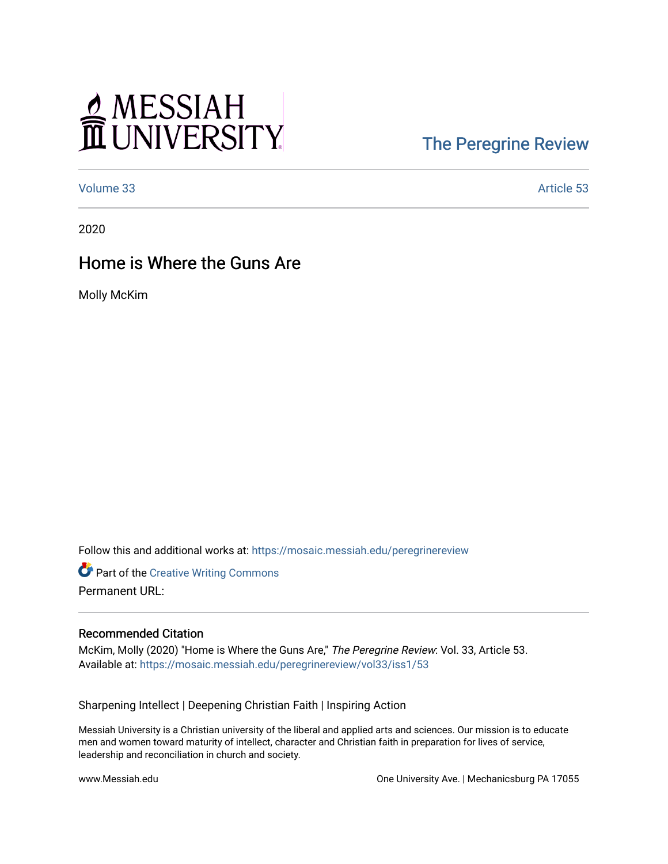# MESSIAH

## [The Peregrine Review](https://mosaic.messiah.edu/peregrinereview)

[Volume 33](https://mosaic.messiah.edu/peregrinereview/vol33) Article 53

2020

### Home is Where the Guns Are

Molly McKim

Follow this and additional works at: [https://mosaic.messiah.edu/peregrinereview](https://mosaic.messiah.edu/peregrinereview?utm_source=mosaic.messiah.edu%2Fperegrinereview%2Fvol33%2Fiss1%2F53&utm_medium=PDF&utm_campaign=PDFCoverPages) 

**Part of the Creative Writing Commons** Permanent URL:

#### Recommended Citation

McKim, Molly (2020) "Home is Where the Guns Are," The Peregrine Review: Vol. 33, Article 53. Available at: [https://mosaic.messiah.edu/peregrinereview/vol33/iss1/53](https://mosaic.messiah.edu/peregrinereview/vol33/iss1/53?utm_source=mosaic.messiah.edu%2Fperegrinereview%2Fvol33%2Fiss1%2F53&utm_medium=PDF&utm_campaign=PDFCoverPages)

Sharpening Intellect | Deepening Christian Faith | Inspiring Action

Messiah University is a Christian university of the liberal and applied arts and sciences. Our mission is to educate men and women toward maturity of intellect, character and Christian faith in preparation for lives of service, leadership and reconciliation in church and society.

www.Messiah.edu One University Ave. | Mechanicsburg PA 17055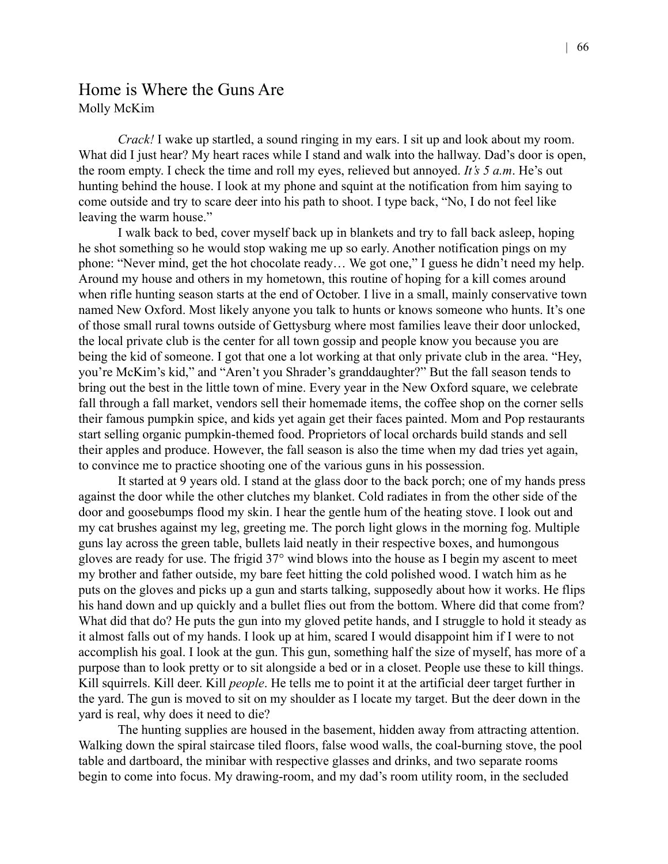#### Home is Where the Guns Are Molly McKim

*Crack!* I wake up startled, a sound ringing in my ears. I sit up and look about my room. What did I just hear? My heart races while I stand and walk into the hallway. Dad's door is open, the room empty. I check the time and roll my eyes, relieved but annoyed. *It's 5 a.m*. He's out hunting behind the house. I look at my phone and squint at the notification from him saying to come outside and try to scare deer into his path to shoot. I type back, "No, I do not feel like leaving the warm house."

I walk back to bed, cover myself back up in blankets and try to fall back asleep, hoping he shot something so he would stop waking me up so early. Another notification pings on my phone: "Never mind, get the hot chocolate ready… We got one," I guess he didn't need my help. Around my house and others in my hometown, this routine of hoping for a kill comes around when rifle hunting season starts at the end of October. I live in a small, mainly conservative town named New Oxford. Most likely anyone you talk to hunts or knows someone who hunts. It's one of those small rural towns outside of Gettysburg where most families leave their door unlocked, the local private club is the center for all town gossip and people know you because you are being the kid of someone. I got that one a lot working at that only private club in the area. "Hey, you're McKim's kid," and "Aren't you Shrader's granddaughter?" But the fall season tends to bring out the best in the little town of mine. Every year in the New Oxford square, we celebrate fall through a fall market, vendors sell their homemade items, the coffee shop on the corner sells their famous pumpkin spice, and kids yet again get their faces painted. Mom and Pop restaurants start selling organic pumpkin-themed food. Proprietors of local orchards build stands and sell their apples and produce. However, the fall season is also the time when my dad tries yet again, to convince me to practice shooting one of the various guns in his possession.

It started at 9 years old. I stand at the glass door to the back porch; one of my hands press against the door while the other clutches my blanket. Cold radiates in from the other side of the door and goosebumps flood my skin. I hear the gentle hum of the heating stove. I look out and my cat brushes against my leg, greeting me. The porch light glows in the morning fog. Multiple guns lay across the green table, bullets laid neatly in their respective boxes, and humongous gloves are ready for use. The frigid 37° wind blows into the house as I begin my ascent to meet my brother and father outside, my bare feet hitting the cold polished wood. I watch him as he puts on the gloves and picks up a gun and starts talking, supposedly about how it works. He flips his hand down and up quickly and a bullet flies out from the bottom. Where did that come from? What did that do? He puts the gun into my gloved petite hands, and I struggle to hold it steady as it almost falls out of my hands. I look up at him, scared I would disappoint him if I were to not accomplish his goal. I look at the gun. This gun, something half the size of myself, has more of a purpose than to look pretty or to sit alongside a bed or in a closet. People use these to kill things. Kill squirrels. Kill deer. Kill *people*. He tells me to point it at the artificial deer target further in the yard. The gun is moved to sit on my shoulder as I locate my target. But the deer down in the yard is real, why does it need to die?

The hunting supplies are housed in the basement, hidden away from attracting attention. Walking down the spiral staircase tiled floors, false wood walls, the coal-burning stove, the pool table and dartboard, the minibar with respective glasses and drinks, and two separate rooms begin to come into focus. My drawing-room, and my dad's room utility room, in the secluded